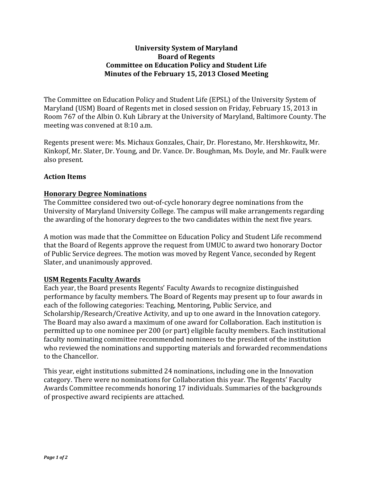### **University System of Maryland Board of Regents Committee on Education Policy and Student Life Minutes of the February 15, 2013 Closed Meeting**

The Committee on Education Policy and Student Life (EPSL) of the University System of Maryland (USM) Board of Regents met in closed session on Friday, February 15, 2013 in Room 767 of the Albin O. Kuh Library at the University of Maryland, Baltimore County. The meeting was convened at 8:10 a.m.

Regents present were: Ms. Michaux Gonzales, Chair, Dr. Florestano, Mr. Hershkowitz, Mr. Kinkopf, Mr. Slater, Dr. Young, and Dr. Vance. Dr. Boughman, Ms. Doyle, and Mr. Faulk were also present.

# **Action Items**

# **Honorary Degree Nominations**

The Committee considered two out-of-cycle honorary degree nominations from the University of Maryland University College. The campus will make arrangements regarding the awarding of the honorary degrees to the two candidates within the next five years.

A motion was made that the Committee on Education Policy and Student Life recommend that the Board of Regents approve the request from UMUC to award two honorary Doctor of Public Service degrees. The motion was moved by Regent Vance, seconded by Regent Slater, and unanimously approved.

# **USM Regents Faculty Awards**

Each year, the Board presents Regents' Faculty Awards to recognize distinguished performance by faculty members. The Board of Regents may present up to four awards in each of the following categories: Teaching, Mentoring, Public Service, and Scholarship/Research/Creative Activity, and up to one award in the Innovation category. The Board may also award a maximum of one award for Collaboration. Each institution is permitted up to one nominee per 200 (or part) eligible faculty members. Each institutional faculty nominating committee recommended nominees to the president of the institution who reviewed the nominations and supporting materials and forwarded recommendations to the Chancellor.

This year, eight institutions submitted 24 nominations, including one in the Innovation category. There were no nominations for Collaboration this year. The Regents' Faculty Awards Committee recommends honoring 17 individuals. Summaries of the backgrounds of prospective award recipients are attached.